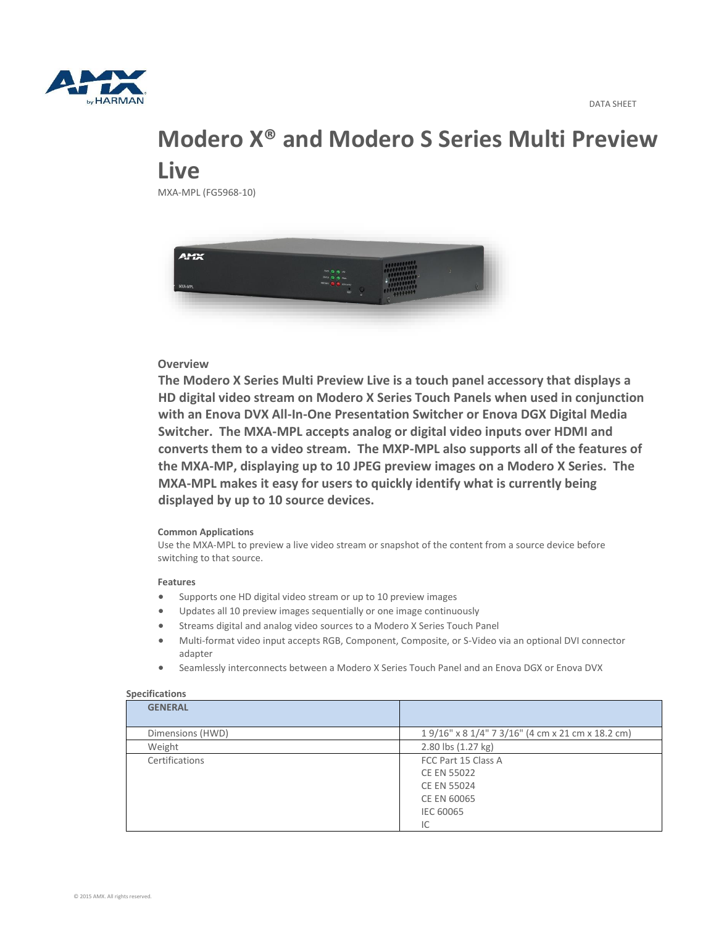

# **Modero X® and Modero S Series Multi Preview Live**

MXA-MPL (FG5968-10)



## **Overview**

**The Modero X Series Multi Preview Live is a touch panel accessory that displays a HD digital video stream on Modero X Series Touch Panels when used in conjunction with an Enova DVX All-In-One Presentation Switcher or Enova DGX Digital Media Switcher. The MXA-MPL accepts analog or digital video inputs over HDMI and converts them to a video stream. The MXP-MPL also supports all of the features of the MXA-MP, displaying up to 10 JPEG preview images on a Modero X Series. The MXA-MPL makes it easy for users to quickly identify what is currently being displayed by up to 10 source devices.**

#### **Common Applications**

Use the MXA-MPL to preview a live video stream or snapshot of the content from a source device before switching to that source.

#### **Features**

- Supports one HD digital video stream or up to 10 preview images
- Updates all 10 preview images sequentially or one image continuously
- Streams digital and analog video sources to a Modero X Series Touch Panel
- Multi-format video input accepts RGB, Component, Composite, or S-Video via an optional DVI connector adapter
- Seamlessly interconnects between a Modero X Series Touch Panel and an Enova DGX or Enova DVX

| <b>Specifications</b> |                                                  |
|-----------------------|--------------------------------------------------|
| <b>GENERAL</b>        |                                                  |
| Dimensions (HWD)      | 19/16" x 8 1/4" 7 3/16" (4 cm x 21 cm x 18.2 cm) |
| Weight                | 2.80 lbs (1.27 kg)                               |
| Certifications        | FCC Part 15 Class A                              |
|                       | <b>CE EN 55022</b>                               |
|                       | <b>CE EN 55024</b>                               |
|                       | CE EN 60065                                      |
|                       | <b>IEC 60065</b>                                 |
|                       | IC                                               |

### **Specifications**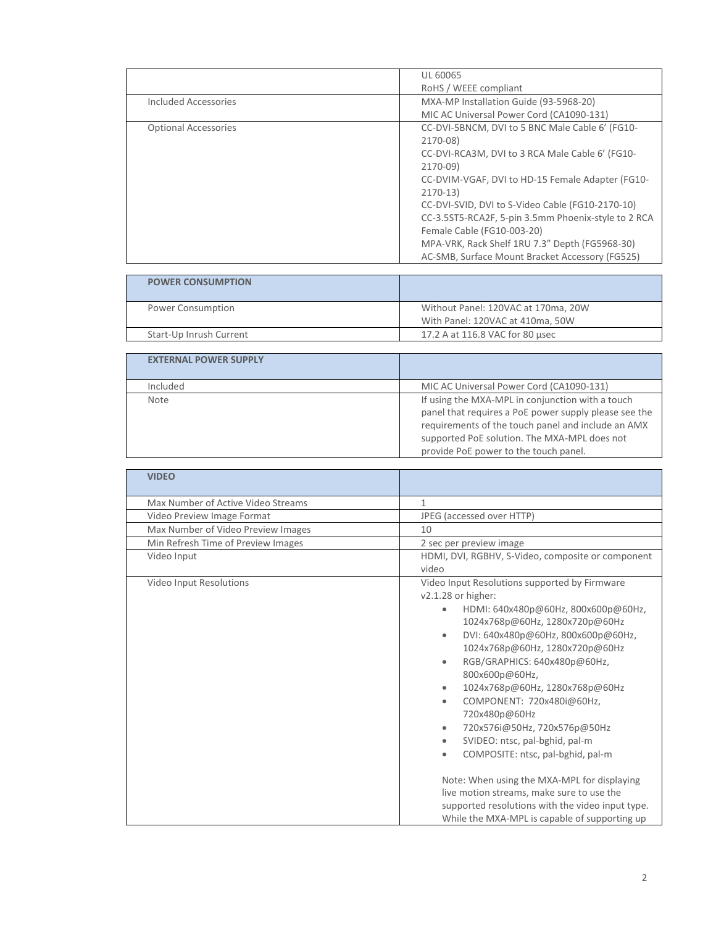|                             | <b>UL 60065</b>                                     |
|-----------------------------|-----------------------------------------------------|
|                             | RoHS / WEEE compliant                               |
| Included Accessories        | MXA-MP Installation Guide (93-5968-20)              |
|                             | MIC AC Universal Power Cord (CA1090-131)            |
| <b>Optional Accessories</b> | CC-DVI-5BNCM, DVI to 5 BNC Male Cable 6' (FG10-     |
|                             | 2170-08)                                            |
|                             | CC-DVI-RCA3M, DVI to 3 RCA Male Cable 6' (FG10-     |
|                             | 2170-09)                                            |
|                             | CC-DVIM-VGAF, DVI to HD-15 Female Adapter (FG10-    |
|                             | $2170-13$                                           |
|                             | CC-DVI-SVID, DVI to S-Video Cable (FG10-2170-10)    |
|                             | CC-3.5ST5-RCA2F, 5-pin 3.5mm Phoenix-style to 2 RCA |
|                             | Female Cable (FG10-003-20)                          |
|                             | MPA-VRK, Rack Shelf 1RU 7.3" Depth (FG5968-30)      |
|                             | AC-SMB, Surface Mount Bracket Accessory (FG525)     |

| <b>POWER CONSUMPTION</b> |                                                                         |
|--------------------------|-------------------------------------------------------------------------|
| Power Consumption        | Without Panel: 120VAC at 170ma, 20W<br>With Panel: 120VAC at 410ma, 50W |
| Start-Up Inrush Current  | 17.2 A at 116.8 VAC for 80 usec                                         |
|                          |                                                                         |

| <b>EXTERNAL POWER SUPPLY</b> |                                                       |
|------------------------------|-------------------------------------------------------|
| Included                     | MIC AC Universal Power Cord (CA1090-131)              |
| Note                         | If using the MXA-MPL in conjunction with a touch      |
|                              | panel that requires a PoE power supply please see the |
|                              | requirements of the touch panel and include an AMX    |
|                              | supported PoE solution. The MXA-MPL does not          |
|                              | provide PoE power to the touch panel.                 |

| <b>VIDEO</b>                       |                                                                                                                                                                                                                                                                                                                                                                                                                                                                                                                                                                                                                                                                                                                                                |
|------------------------------------|------------------------------------------------------------------------------------------------------------------------------------------------------------------------------------------------------------------------------------------------------------------------------------------------------------------------------------------------------------------------------------------------------------------------------------------------------------------------------------------------------------------------------------------------------------------------------------------------------------------------------------------------------------------------------------------------------------------------------------------------|
| Max Number of Active Video Streams | 1                                                                                                                                                                                                                                                                                                                                                                                                                                                                                                                                                                                                                                                                                                                                              |
| Video Preview Image Format         | JPEG (accessed over HTTP)                                                                                                                                                                                                                                                                                                                                                                                                                                                                                                                                                                                                                                                                                                                      |
| Max Number of Video Preview Images | 10                                                                                                                                                                                                                                                                                                                                                                                                                                                                                                                                                                                                                                                                                                                                             |
| Min Refresh Time of Preview Images | 2 sec per preview image                                                                                                                                                                                                                                                                                                                                                                                                                                                                                                                                                                                                                                                                                                                        |
| Video Input                        | HDMI, DVI, RGBHV, S-Video, composite or component<br>video                                                                                                                                                                                                                                                                                                                                                                                                                                                                                                                                                                                                                                                                                     |
| Video Input Resolutions            | Video Input Resolutions supported by Firmware<br>v2.1.28 or higher:<br>HDMI: 640x480p@60Hz, 800x600p@60Hz,<br>$\bullet$<br>1024x768p@60Hz, 1280x720p@60Hz<br>DVI: 640x480p@60Hz, 800x600p@60Hz,<br>$\bullet$<br>1024x768p@60Hz, 1280x720p@60Hz<br>RGB/GRAPHICS: 640x480p@60Hz,<br>$\bullet$<br>800x600p@60Hz,<br>1024x768p@60Hz, 1280x768p@60Hz<br>$\bullet$<br>COMPONENT: 720x480i@60Hz,<br>$\bullet$<br>720x480p@60Hz<br>720x576i@50Hz, 720x576p@50Hz<br>۰<br>SVIDEO: ntsc, pal-bghid, pal-m<br>۰<br>COMPOSITE: ntsc, pal-bghid, pal-m<br>۰<br>Note: When using the MXA-MPL for displaying<br>live motion streams, make sure to use the<br>supported resolutions with the video input type.<br>While the MXA-MPL is capable of supporting up |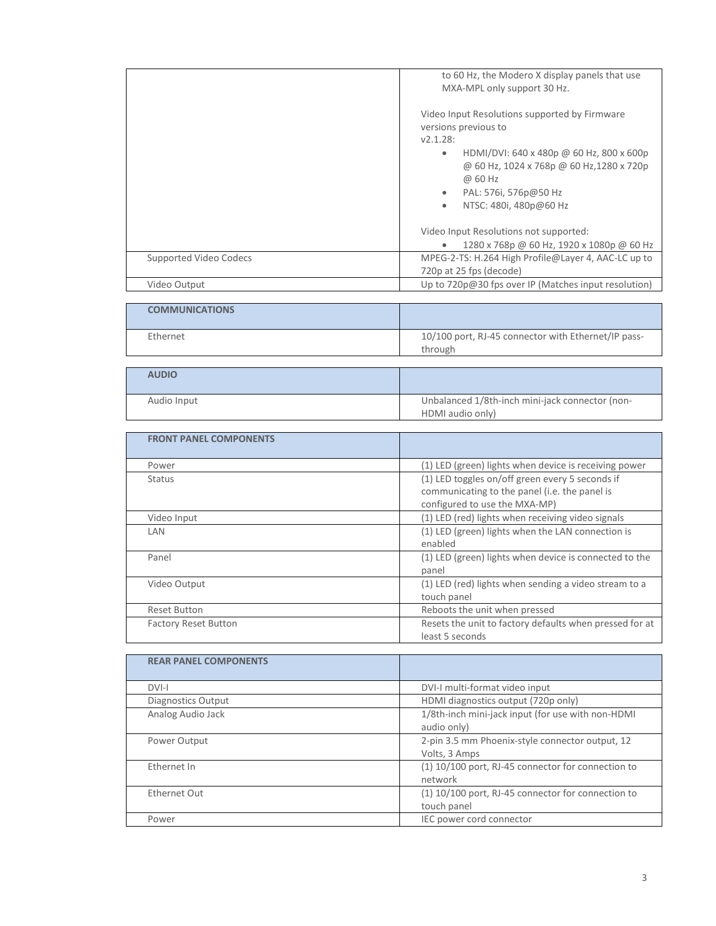| to 60 Hz, the Modero X display panels that use<br>MXA-MPL only support 30 Hz.                                                                                                                                                                      |
|----------------------------------------------------------------------------------------------------------------------------------------------------------------------------------------------------------------------------------------------------|
| Video Input Resolutions supported by Firmware<br>versions previous to<br>V2.1.28:<br>HDMI/DVI: 640 x 480p @ 60 Hz, 800 x 600p<br>۰<br>@ 60 Hz, 1024 x 768p @ 60 Hz, 1280 x 720p<br>@ 60 Hz<br>PAL: 576i, 576p@50 Hz<br>NTSC: 480i, 480p@60 Hz<br>۰ |
| Video Input Resolutions not supported:<br>1280 x 768p @ 60 Hz, 1920 x 1080p @ 60 Hz                                                                                                                                                                |
| MPEG-2-TS: H.264 High Profile@Layer 4, AAC-LC up to                                                                                                                                                                                                |
| 720p at 25 fps (decode)                                                                                                                                                                                                                            |
| Up to $720p@30$ fps over IP (Matches input resolution)                                                                                                                                                                                             |
|                                                                                                                                                                                                                                                    |

| <b>COMMUNICATIONS</b> |                                                                |
|-----------------------|----------------------------------------------------------------|
| Ethernet              | 10/100 port, RJ-45 connector with Ethernet/IP pass-<br>through |

| <b>AUDIO</b> |                                                                     |
|--------------|---------------------------------------------------------------------|
| Audio Input  | Unbalanced 1/8th-inch mini-jack connector (non-<br>HDMI audio only) |

| <b>FRONT PANEL COMPONENTS</b> |                                                                                                                                   |
|-------------------------------|-----------------------------------------------------------------------------------------------------------------------------------|
| Power                         | (1) LED (green) lights when device is receiving power                                                                             |
| Status                        | (1) LED toggles on/off green every 5 seconds if<br>communicating to the panel (i.e. the panel is<br>configured to use the MXA-MP) |
| Video Input                   | (1) LED (red) lights when receiving video signals                                                                                 |
| LAN                           | (1) LED (green) lights when the LAN connection is<br>enabled                                                                      |
| Panel                         | (1) LED (green) lights when device is connected to the<br>panel                                                                   |
| Video Output                  | (1) LED (red) lights when sending a video stream to a<br>touch panel                                                              |
| <b>Reset Button</b>           | Reboots the unit when pressed                                                                                                     |
| <b>Factory Reset Button</b>   | Resets the unit to factory defaults when pressed for at<br>least 5 seconds                                                        |

| <b>REAR PANEL COMPONENTS</b> |                                                                     |
|------------------------------|---------------------------------------------------------------------|
| DVI-I                        | DVI-I multi-format video input                                      |
| Diagnostics Output           | HDMI diagnostics output (720p only)                                 |
| Analog Audio Jack            | 1/8th-inch mini-jack input (for use with non-HDMI<br>audio only)    |
| Power Output                 | 2-pin 3.5 mm Phoenix-style connector output, 12<br>Volts, 3 Amps    |
| Ethernet In                  | (1) 10/100 port, RJ-45 connector for connection to<br>network       |
| Ethernet Out                 | $(1)$ 10/100 port, RJ-45 connector for connection to<br>touch panel |
| Power                        | IEC power cord connector                                            |